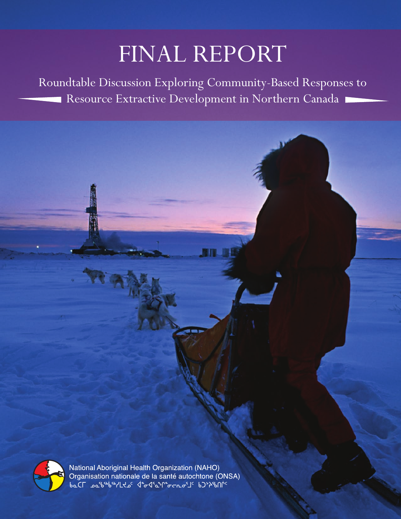## FINAL REPORT

Roundtable Discussion Exploring Community-Based Responses to Resource Extractive Development in Northern Canada



National Aboriginal Health Organization (NAHO)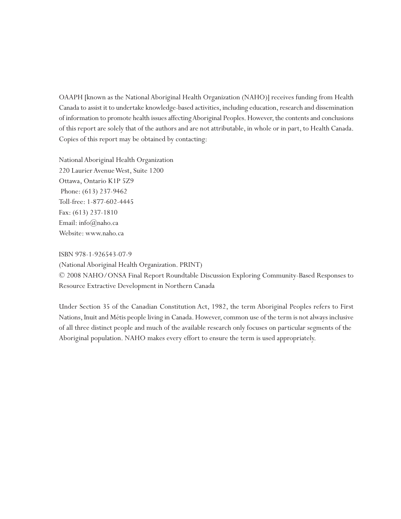OAAPH [known as the National Aboriginal Health Organization (NAHO)] receives funding from Health Canada to assist it to undertake knowledge-based activities, including education, research and dissemination of information to promote health issues affectingAboriginal Peoples. However, the contents and conclusions of this report are solely that of the authors and are not attributable, in whole or in part, to Health Canada. Copies of this report may be obtained by contacting:

National Aboriginal Health Organization 220 Laurier AvenueWest, Suite 1200 Ottawa, Ontario K1P 5Z9 Phone: (613) 237-9462 Toll-free: 1-877-602-4445 Fax: (613) 237-1810 Email: info@naho.ca Website: www.naho.ca

ISBN 978-1-926543-07-9

(National Aboriginal Health Organization. PRINT)

© 2008 NAHO/ONSA Final Report Roundtable Discussion Exploring Community-Based Responses to Resource Extractive Development in Northern Canada

Under Section 35 of the Canadian Constitution Act, 1982, the term Aboriginal Peoples refers to First Nations, Inuit and Métis people living in Canada. However, common use of the term is not always inclusive of all three distinct people and much of the available research only focuses on particular segments of the Aboriginal population. NAHO makes every effort to ensure the term is used appropriately.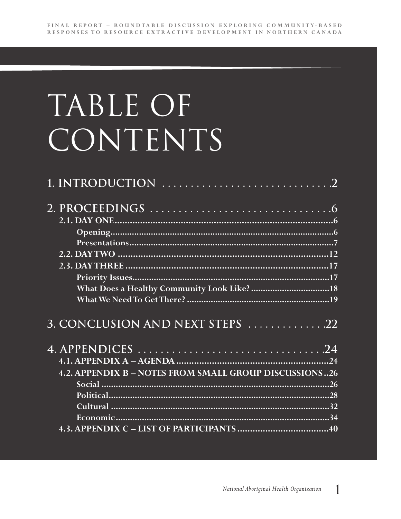## TABLE OF CONTENTS

| 3. CONCLUSION AND NEXT STEPS 22                        |     |
|--------------------------------------------------------|-----|
|                                                        |     |
|                                                        |     |
| 4.2. APPENDIX B - NOTES FROM SMALL GROUP DISCUSSIONS26 |     |
|                                                        |     |
|                                                        |     |
|                                                        | .32 |
|                                                        |     |
|                                                        |     |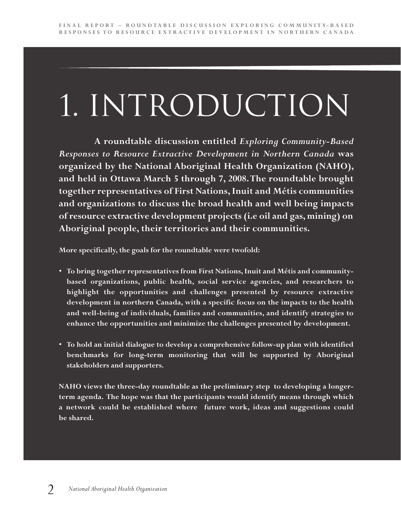# 1. Introduction

**A roundtable discussion entitled** *Exploring Community-Based Responses to Resource Extractive Development in Northern Canada* **was organized by the National Aboriginal Health Organization (NAHO), and held in Ottawa March 5 through 7, 2008. The roundtable brought together representatives of First Nations, Inuit and Métis communities and organizations to discuss the broad health and well being impacts of resource extractive development projects (i.e oil and gas, mining) on Aboriginal people, their territories and their communities.**

**More specifically, the goals for the roundtable were twofold:**

- **To bring together representatives from First Nations, Inuit and Métis and communitybased organizations, public health, social service agencies, and researchers to highlight the opportunities and challenges presented by resource extractive development in northern Canada, with a specific focus on the impacts to the health and well-being of individuals, families and communities, and identify strategies to enhance the opportunities and minimize the challenges presented by development.**
- **To hold an initial dialogue to develop a comprehensive follow-up plan with identified benchmarks for long-term monitoring that will be supported by Aboriginal stakeholders and supporters.**

**NAHO views the three-day roundtable as the preliminary step to developing a longerterm agenda. The hope was that the participants would identify means through which a network could be established where future work, ideas and suggestions could be shared.**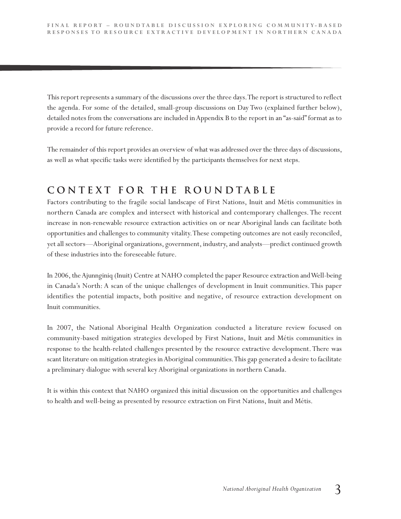This report represents a summary of the discussions over the three days.The report is structured to reflect the agenda. For some of the detailed, small-group discussions on Day Two (explained further below), detailed notes from the conversations are included in Appendix B to the report in an "as-said" format as to provide a record for future reference.

The remainder of this report provides an overview of what was addressed over the three days of discussions, as well as what specific tasks were identified by the participants themselves for next steps.

## **C o n t e x t f o r t h e R o u n d t a b l e**

Factors contributing to the fragile social landscape of First Nations, Inuit and Métis communities in northern Canada are complex and intersect with historical and contemporary challenges. The recent increase in non-renewable resource extraction activities on or near Aboriginal lands can facilitate both opportunities and challenges to community vitality.These competing outcomes are not easily reconciled, yet all sectors—Aboriginal organizations, government, industry, and analysts—predict continued growth of these industries into the foreseeable future.

In 2006, theAjunnginiq (Inuit) Centre at NAHO completed the paper Resource extraction andWell-being in Canada's North: A scan of the unique challenges of development in Inuit communities. This paper identifies the potential impacts, both positive and negative, of resource extraction development on Inuit communities.

In 2007, the National Aboriginal Health Organization conducted a literature review focused on community-based mitigation strategies developed by First Nations, Inuit and Métis communities in response to the health-related challenges presented by the resource extractive development. There was scant literature on mitigation strategies in Aboriginal communities.This gap generated a desire to facilitate a preliminary dialogue with several key Aboriginal organizations in northern Canada.

It is within this context that NAHO organized this initial discussion on the opportunities and challenges to health and well-being as presented by resource extraction on First Nations, Inuit and Métis.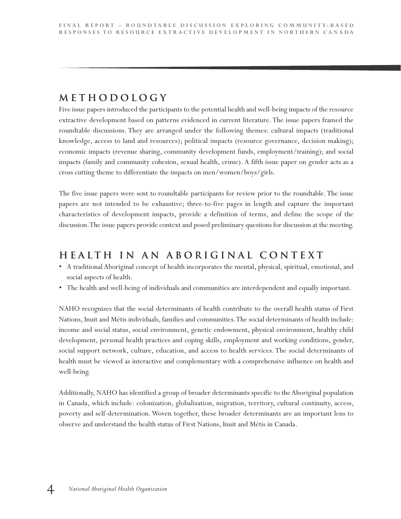## **M e t h o d o l o g y**

Five issue papers introduced the participants to the potential health and well-being impacts of the resource extractive development based on patterns evidenced in current literature. The issue papers framed the roundtable discussions. They are arranged under the following themes: cultural impacts (traditional knowledge, access to land and resources); political impacts (resource governance, decision making); economic impacts (revenue sharing, community development funds, employment/training); and social impacts (family and community cohesion, sexual health, crime). A fifth issue paper on gender acts as a cross cutting theme to differentiate the impacts on men/women/boys/girls.

The five issue papers were sent to roundtable participants for review prior to the roundtable.The issue papers are not intended to be exhaustive; three-to-five pages in length and capture the important characteristics of development impacts, provide a definition of terms, and define the scope of the discussion.The issue papers provide context and posed preliminary questions for discussion at the meeting.

## **H e a l t h i n a n A b o r i g i n a l C o n t e x t**

- A traditional Aboriginal concept of health incorporates the mental, physical, spiritual, emotional, and social aspects of health.
- The health and well-being of individuals and communities are interdependent and equally important.

NAHO recognizes that the social determinants of health contribute to the overall health status of First Nations, Inuit and Métis individuals, families and communities.The social determinants of health include: income and social status, social environment, genetic endowment, physical environment, healthy child development, personal health practices and coping skills, employment and working conditions, gender, social support network, culture, education, and access to health services. The social determinants of health must be viewed as interactive and complementary with a comprehensive influence on health and well-being.

Additionally, NAHO has identified a group of broader determinants specific to the Aboriginal population in Canada, which include: colonization, globalization, migration, territory, cultural continuity, access, poverty and self-determination. Woven together, these broader determinants are an important lens to observe and understand the health status of First Nations, Inuit and Métis in Canada.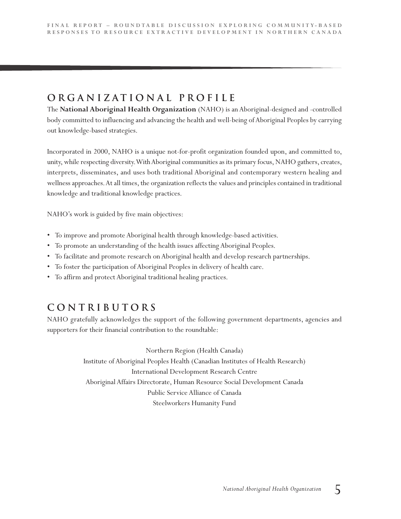## **O r g a n i z a t i o n a l P r o f i l e**

The **National Aboriginal Health Organization** (NAHO) is an Aboriginal-designed and -controlled body committed to influencing and advancing the health and well-being of Aboriginal Peoples by carrying out knowledge-based strategies.

Incorporated in 2000, NAHO is a unique not-for-profit organization founded upon, and committed to, unity, while respecting diversity.WithAboriginal communities as its primary focus, NAHO gathers, creates, interprets, disseminates, and uses both traditional Aboriginal and contemporary western healing and wellness approaches.At all times, the organization reflects the values and principles contained in traditional knowledge and traditional knowledge practices.

NAHO's work is guided by five main objectives:

- To improve and promote Aboriginal health through knowledge-based activities.
- To promote an understanding of the health issues affecting Aboriginal Peoples.
- To facilitate and promote research on Aboriginal health and develop research partnerships.
- To foster the participation of Aboriginal Peoples in delivery of health care.
- To affirm and protect Aboriginal traditional healing practices.

## **C o n t r i b u t o r s**

NAHO gratefully acknowledges the support of the following government departments, agencies and supporters for their financial contribution to the roundtable:

> Northern Region (Health Canada) Institute of Aboriginal Peoples Health (Canadian Institutes of Health Research) International Development Research Centre Aboriginal Affairs Directorate, Human Resource Social Development Canada Public Service Alliance of Canada Steelworkers Humanity Fund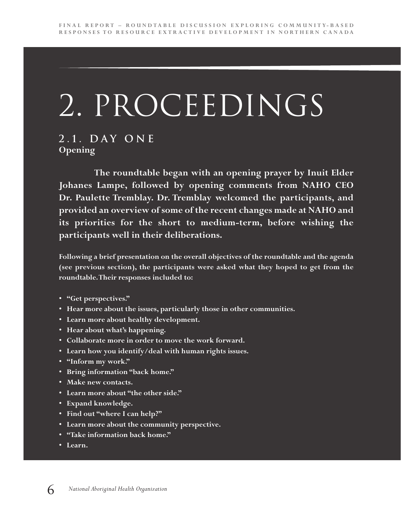## 2. PROCEEDINGS

### **2 . 1 . D a y O n e Opening**

**The roundtable began with an opening prayer by Inuit Elder Johanes Lampe, followed by opening comments from NAHO CEO Dr. Paulette Tremblay. Dr. Tremblay welcomed the participants, and provided an overview of some of the recent changes made at NAHO and its priorities for the short to medium-term, before wishing the participants well in their deliberations.**

**Following a brief presentation on the overall objectives of the roundtable and the agenda (see previous section), the participants were asked what they hoped to get from the roundtable.Their responses included to:**

- **"Get perspectives."**
- **Hear more about the issues, particularly those in other communities.**
- **Learn more about healthy development.**
- **Hear about what's happening.**
- **Collaborate more in order to move the work forward.**
- **Learn how you identify/deal with human rights issues.**
- **"Inform my work."**
- **Bring information "back home."**
- **Make new contacts.**
- **Learn more about "the other side."**
- **Expand knowledge.**
- **Find out "where I can help?"**
- **Learn more about the community perspective.**
- **"Take information back home."**
- **Learn.**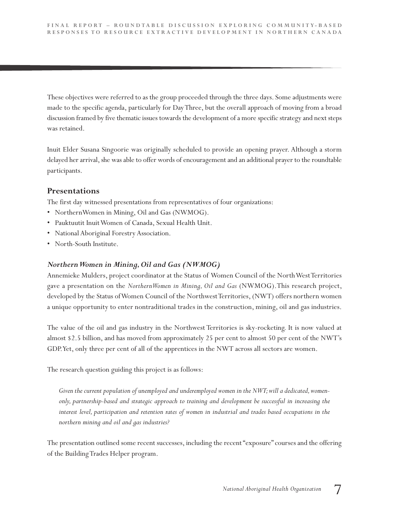These objectives were referred to as the group proceeded through the three days. Some adjustments were made to the specific agenda, particularly for DayThree, but the overall approach of moving from a broad discussion framed by five thematic issues towards the development of a more specific strategy and next steps was retained.

Inuit Elder Susana Singoorie was originally scheduled to provide an opening prayer. Although a storm delayed her arrival, she was able to offer words of encouragement and an additional prayer to the roundtable participants.

#### **Presentations**

The first day witnessed presentations from representatives of four organizations:

- NorthernWomen in Mining, Oil and Gas (NWMOG).
- Pauktuutit InuitWomen of Canada, Sexual Health Unit.
- National Aboriginal Forestry Association.
- North-South Institute.

#### *NorthernWomen in Mining, Oil and Gas (NWMOG)*

Annemieke Mulders, project coordinator at the Status of Women Council of the NorthWestTerritories gave a presentation on the *NorthernWomen in Mining, Oil and Gas* (NWMOG).This research project, developed by the Status of Women Council of the Northwest Territories, (NWT) offers northern women a unique opportunity to enter nontraditional trades in the construction, mining, oil and gas industries.

The value of the oil and gas industry in the Northwest Territories is sky-rocketing. It is now valued at almost \$2.5 billion, and has moved from approximately 25 per cent to almost 50 per cent of the NWT's GDP.Yet, only three per cent of all of the apprentices in the NWT across all sectors are women.

The research question guiding this project is as follows:

Given the current population of unemployed and underemployed women in the NWT; will a dedicated, women*only, partnership-based and strategic approach to training and development be successful in increasing the interest level, participation and retention rates of women in industrial and trades based occupations in the northern mining and oil and gas industries?*

The presentation outlined some recent successes, including the recent "exposure" courses and the offering of the BuildingTrades Helper program.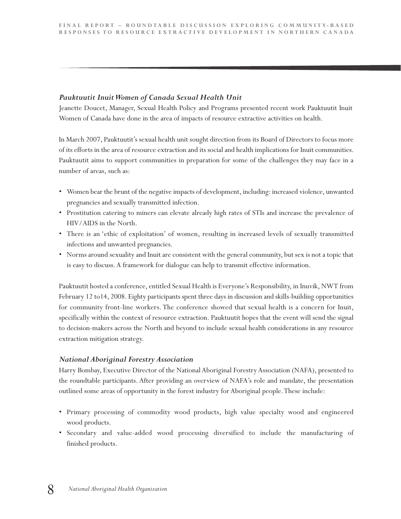#### *Pauktuutit InuitWomen of Canada Sexual Health Unit*

Jeanette Doucet, Manager, Sexual Health Policy and Programs presented recent work Pauktuutit Inuit Women of Canada have done in the area of impacts of resource extractive activities on health.

In March 2007, Pauktuutit's sexual health unit sought direction from its Board of Directors to focus more of its efforts in the area of resource extraction and its social and health implications for Inuit communities. Pauktuutit aims to support communities in preparation for some of the challenges they may face in a number of areas, such as:

- Women bear the brunt of the negative impacts of development, including: increased violence, unwanted pregnancies and sexually transmitted infection.
- Prostitution catering to miners can elevate already high rates of STIs and increase the prevalence of HIV/AIDS in the North.
- There is an 'ethic of exploitation' of women, resulting in increased levels of sexually transmitted infections and unwanted pregnancies.
- Norms around sexuality and Inuit are consistent with the general community, but sex is not a topic that is easy to discuss.A framework for dialogue can help to transmit effective information.

Pauktuutit hosted a conference, entitled Sexual Health is Everyone's Responsibility, in Inuvik, NWT from February 12 to14, 2008. Eighty participants spent three days in discussion and skills-building opportunities for community front-line workers. The conference showed that sexual health is a concern for Inuit, specifically within the context of resource extraction. Pauktuutit hopes that the event will send the signal to decision-makers across the North and beyond to include sexual health considerations in any resource extraction mitigation strategy.

#### *National Aboriginal Forestry Association*

Harry Bombay, Executive Director of the National Aboriginal Forestry Association (NAFA), presented to the roundtable participants. After providing an overview of NAFA's role and mandate, the presentation outlined some areas of opportunity in the forest industry for Aboriginal people.These include:

- Primary processing of commodity wood products, high value specialty wood and engineered wood products.
- Secondary and value-added wood processing diversified to include the manufacturing of finished products.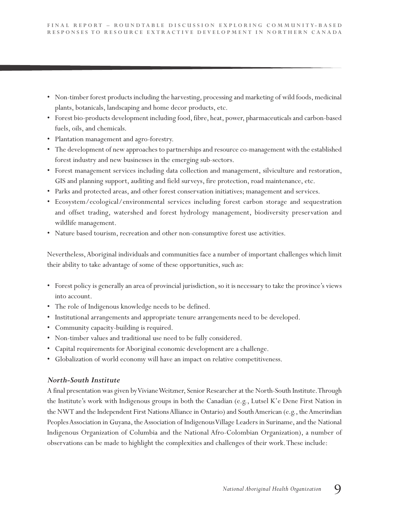- Non-timber forest products including the harvesting, processing and marketing of wild foods, medicinal plants, botanicals, landscaping and home decor products, etc.
- Forest bio-products development including food, fibre, heat, power, pharmaceuticals and carbon-based fuels, oils, and chemicals.
- Plantation management and agro-forestry.
- The development of new approaches to partnerships and resource co-management with the established forest industry and new businesses in the emerging sub-sectors.
- Forest management services including data collection and management, silviculture and restoration, GIS and planning support, auditing and field surveys, fire protection, road maintenance, etc.
- Parks and protected areas, and other forest conservation initiatives; management and services.
- Ecosystem/ecological/environmental services including forest carbon storage and sequestration and offset trading, watershed and forest hydrology management, biodiversity preservation and wildlife management.
- Nature based tourism, recreation and other non-consumptive forest use activities.

Nevertheless,Aboriginal individuals and communities face a number of important challenges which limit their ability to take advantage of some of these opportunities, such as:

- Forest policy is generally an area of provincial jurisdiction, so it is necessary to take the province's views into account.
- The role of Indigenous knowledge needs to be defined.
- Institutional arrangements and appropriate tenure arrangements need to be developed.
- Community capacity-building is required.
- Non-timber values and traditional use need to be fully considered.
- Capital requirements for Aboriginal economic development are a challenge.
- Globalization of world economy will have an impact on relative competitiveness.

#### *North-South Institute*

A final presentation was given byVivianeWeitzner, Senior Researcher at the North-South Institute.Through the Institute's work with Indigenous groups in both the Canadian (e.g., Lutsel K'e Dene First Nation in the NWT and the Independent First Nations Alliance in Ontario) and South American (e.g., the Amerindian Peoples Association in Guyana, the Association of Indigenous Village Leaders in Suriname, and the National Indigenous Organization of Columbia and the National Afro-Colombian Organization), a number of observations can be made to highlight the complexities and challenges of their work.These include: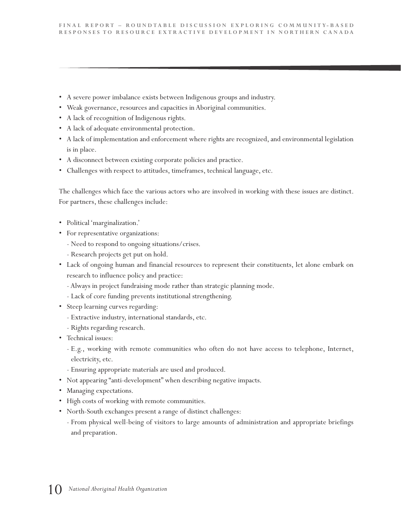- A severe power imbalance exists between Indigenous groups and industry.
- Weak governance, resources and capacities in Aboriginal communities.
- A lack of recognition of Indigenous rights.
- A lack of adequate environmental protection.
- A lack of implementation and enforcement where rights are recognized, and environmental legislation is in place.
- A disconnect between existing corporate policies and practice.
- Challenges with respect to attitudes, timeframes, technical language, etc.

The challenges which face the various actors who are involved in working with these issues are distinct. For partners, these challenges include:

- Political 'marginalization.'
- For representative organizations:
	- Need to respond to ongoing situations/crises.
	- Research projects get put on hold.
- Lack of ongoing human and financial resources to represent their constituents, let alone embark on research to influence policy and practice:
	- Always in project fundraising mode rather than strategic planning mode.
	- Lack of core funding prevents institutional strengthening.
- Steep learning curves regarding:
	- Extractive industry, international standards, etc.
	- Rights regarding research.
- Technical issues:
	- E.g., working with remote communities who often do not have access to telephone, Internet, electricity, etc.
	- Ensuring appropriate materials are used and produced.
- Not appearing "anti-development" when describing negative impacts.
- Managing expectations.
- High costs of working with remote communities.
- North-South exchanges present a range of distinct challenges:
	- From physical well-being of visitors to large amounts of administration and appropriate briefings and preparation.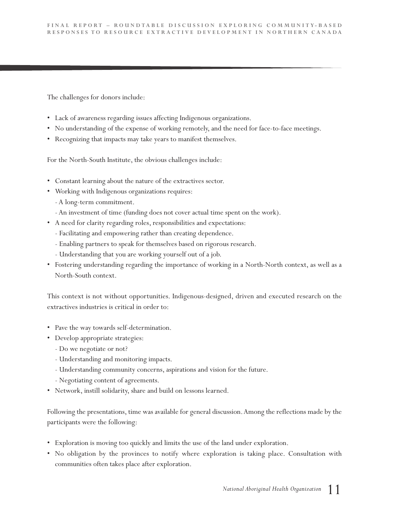The challenges for donors include:

- Lack of awareness regarding issues affecting Indigenous organizations.
- No understanding of the expense of working remotely, and the need for face-to-face meetings.
- Recognizing that impacts may take years to manifest themselves.

For the North-South Institute, the obvious challenges include:

- Constant learning about the nature of the extractives sector.
- Working with Indigenous organizations requires:
	- A long-term commitment.
	- An investment of time (funding does not cover actual time spent on the work).
- A need for clarity regarding roles, responsibilities and expectations:
	- Facilitating and empowering rather than creating dependence.
	- Enabling partners to speak for themselves based on rigorous research.
	- Understanding that you are working yourself out of a job.
- Fostering understanding regarding the importance of working in a North-North context, as well as a North-South context.

This context is not without opportunities. Indigenous-designed, driven and executed research on the extractives industries is critical in order to:

- Pave the way towards self-determination.
- Develop appropriate strategies:
	- Do we negotiate or not?
	- Understanding and monitoring impacts.
	- Understanding community concerns, aspirations and vision for the future.
	- Negotiating content of agreements.
- Network, instill solidarity, share and build on lessons learned.

Following the presentations, time was available for general discussion.Among the reflections made by the participants were the following:

- Exploration is moving too quickly and limits the use of the land under exploration.
- No obligation by the provinces to notify where exploration is taking place. Consultation with communities often takes place after exploration.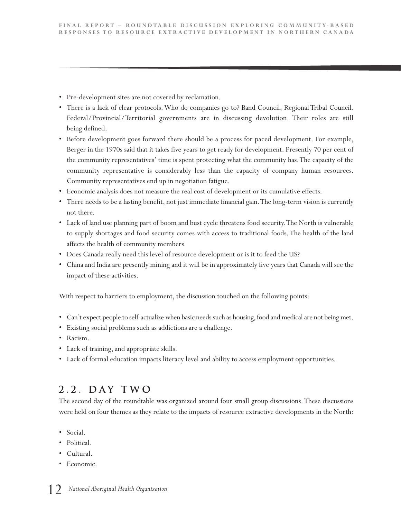- Pre-development sites are not covered by reclamation.
- There is a lack of clear protocols.Who do companies go to? Band Council, Regional Tribal Council. Federal/Provincial/Territorial governments are in discussing devolution. Their roles are still being defined.
- Before development goes forward there should be a process for paced development. For example, Berger in the 1970s said that it takes five years to get ready for development. Presently 70 per cent of the community representatives' time is spent protecting what the community has.The capacity of the community representative is considerably less than the capacity of company human resources. Community representatives end up in negotiation fatigue.
- Economic analysis does not measure the real cost of development or its cumulative effects.
- There needs to be a lasting benefit, not just immediate financial gain.The long-term vision is currently not there.
- Lack of land use planning part of boom and bust cycle threatens food security.The North is vulnerable to supply shortages and food security comes with access to traditional foods. The health of the land affects the health of community members.
- Does Canada really need this level of resource development or is it to feed the US?
- China and India are presently mining and it will be in approximately five years that Canada will see the impact of these activities.

With respect to barriers to employment, the discussion touched on the following points:

- Can't expect people to self-actualize when basic needs such as housing, food and medical are not being met.
- Existing social problems such as addictions are a challenge.
- Racism.
- Lack of training, and appropriate skills.
- Lack of formal education impacts literacy level and ability to access employment opportunities.

### **2 . 2 . D a y T w o**

The second day of the roundtable was organized around four small group discussions.These discussions were held on four themes as they relate to the impacts of resource extractive developments in the North:

- Social.
- Political.
- Cultural.
- Economic.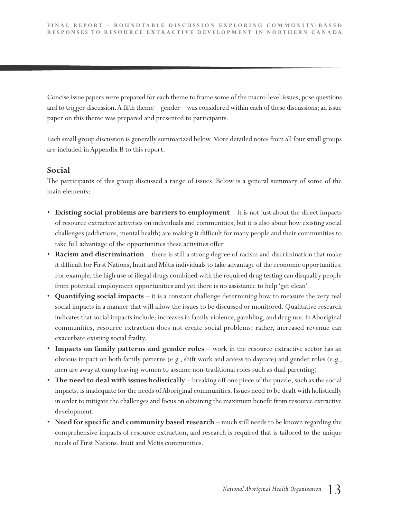Concise issue papers were prepared for each theme to frame some of the macro-level issues, pose questions and to trigger discussion.A fifth theme – gender – was considered within each of these discussions; an issue paper on this theme was prepared and presented to participants.

Each small group discussion is generally summarized below. More detailed notes from all four small groups are included in Appendix B to this report.

#### **Social**

The participants of this group discussed a range of issues. Below is a general summary of some of the main elements:

- **Existing social problems are barriers to employment** it is not just about the direct impacts of resource extractive activities on individuals and communities, but it is also about how existing social challenges (addictions, mental health) are making it difficult for many people and their communities to take full advantage of the opportunities these activities offer.
- **Racism and discrimination** there is still a strong degree of racism and discrimination that make it difficult for First Nations, Inuit and Métis individuals to take advantage of the economic opportunities. For example, the high use of illegal drugs combined with the required drug testing can disqualify people from potential employment opportunities and yet there is no assistance to help 'get clean'.
- **Quantifying social impacts** it is a constant challenge determining how to measure the very real social impacts in a manner that will allow the issues to be discussed or monitored. Qualitative research indicates that social impacts include: increases in family violence, gambling, and drug use. In Aboriginal communities, resource extraction does not create social problems; rather, increased revenue can exacerbate existing social frailty.
- **Impacts on family patterns and gender roles** work in the resource extractive sector has an obvious impact on both family patterns (e.g., shift work and access to daycare) and gender roles (e.g., men are away at camp leaving women to assume non-traditional roles such as dual parenting).
- **The need to deal with issues holistically** breaking off one piece of the puzzle, such as the social impacts, is inadequate for the needs of Aboriginal communities. Issues need to be dealt with holistically in order to mitigate the challenges and focus on obtaining the maximum benefit from resource extractive development.
- **Need for specific and community based research** much still needs to be known regarding the comprehensive impacts of resource extraction, and research is required that is tailored to the unique needs of First Nations, Inuit and Métis communities.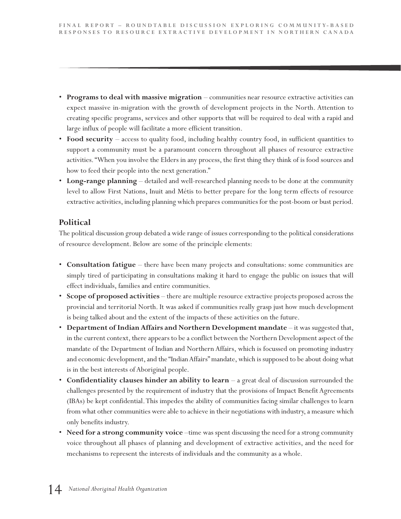- **Programs to deal with massive migration** communities near resource extractive activities can expect massive in-migration with the growth of development projects in the North. Attention to creating specific programs, services and other supports that will be required to deal with a rapid and large influx of people will facilitate a more efficient transition.
- **Food security** access to quality food, including healthy country food, in sufficient quantities to support a community must be a paramount concern throughout all phases of resource extractive activities. "When you involve the Elders in any process, the first thing they think of is food sources and how to feed their people into the next generation."
- **Long-range planning** detailed and well-researched planning needs to be done at the community level to allow First Nations, Inuit and Métis to better prepare for the long term effects of resource extractive activities, including planning which prepares communities for the post-boom or bust period.

#### **Political**

The political discussion group debated a wide range of issues corresponding to the political considerations of resource development. Below are some of the principle elements:

- **Consultation fatigue** there have been many projects and consultations: some communities are simply tired of participating in consultations making it hard to engage the public on issues that will effect individuals, families and entire communities.
- **Scope of proposed activities** there are multiple resource extractive projects proposed across the provincial and territorial North. It was asked if communities really grasp just how much development is being talked about and the extent of the impacts of these activities on the future.
- **Department of Indian Affairs and Northern Development mandate** it was suggested that, in the current context, there appears to be a conflict between the Northern Development aspect of the mandate of the Department of Indian and Northern Affairs, which is focussed on promoting industry and economic development, and the "IndianAffairs" mandate, which is supposed to be about doing what is in the best interests of Aboriginal people.
- **Confidentiality clauses hinder an ability to learn** a great deal of discussion surrounded the challenges presented by the requirement of industry that the provisions of Impact Benefit Agreements (IBAs) be kept confidential.This impedes the ability of communities facing similar challenges to learn from what other communities were able to achieve in their negotiations with industry, a measure which only benefits industry.
- **Need for a strong community voice** –time was spent discussing the need for a strong community voice throughout all phases of planning and development of extractive activities, and the need for mechanisms to represent the interests of individuals and the community as a whole.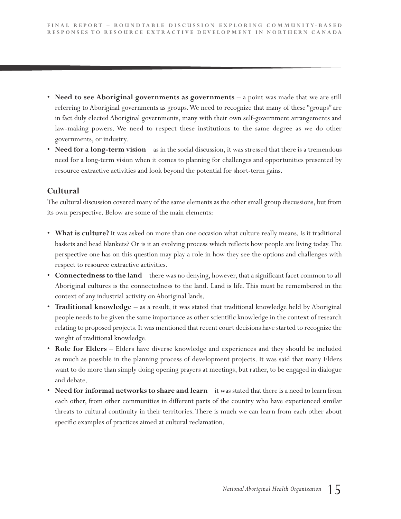- **Need to see Aboriginal governments as governments** a point was made that we are still referring to Aboriginal governments as groups.We need to recognize that many of these "groups" are in fact duly elected Aboriginal governments, many with their own self-government arrangements and law-making powers. We need to respect these institutions to the same degree as we do other governments, or industry.
- **Need for a long-term vision** as in the social discussion, it was stressed that there is a tremendous need for a long-term vision when it comes to planning for challenges and opportunities presented by resource extractive activities and look beyond the potential for short-term gains.

#### **Cultural**

The cultural discussion covered many of the same elements as the other small group discussions, but from its own perspective. Below are some of the main elements:

- **What is culture?** It was asked on more than one occasion what culture really means. Is it traditional baskets and bead blankets? Or is it an evolving process which reflects how people are living today.The perspective one has on this question may play a role in how they see the options and challenges with respect to resource extractive activities.
- **Connectedness to the land** there was no denying, however, that a significant facet common to all Aboriginal cultures is the connectedness to the land. Land is life. This must be remembered in the context of any industrial activity on Aboriginal lands.
- **Traditional knowledge** as a result, it was stated that traditional knowledge held by Aboriginal people needs to be given the same importance as other scientific knowledge in the context of research relating to proposed projects. It was mentioned that recent court decisions have started to recognize the weight of traditional knowledge.
- **Role for Elders** Elders have diverse knowledge and experiences and they should be included as much as possible in the planning process of development projects. It was said that many Elders want to do more than simply doing opening prayers at meetings, but rather, to be engaged in dialogue and debate.
- **Need for informal networks to share and learn** it was stated that there is a need to learn from each other, from other communities in different parts of the country who have experienced similar threats to cultural continuity in their territories. There is much we can learn from each other about specific examples of practices aimed at cultural reclamation.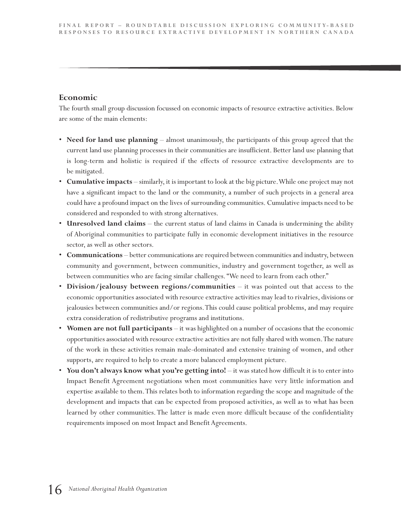#### **Economic**

The fourth small group discussion focussed on economic impacts of resource extractive activities. Below are some of the main elements:

- **Need for land use planning** almost unanimously, the participants of this group agreed that the current land use planning processes in their communities are insufficient. Better land use planning that is long-term and holistic is required if the effects of resource extractive developments are to be mitigated.
- **Cumulative impacts** similarly, it is important to look at the big picture.While one project may not have a significant impact to the land or the community, a number of such projects in a general area could have a profound impact on the lives of surrounding communities. Cumulative impacts need to be considered and responded to with strong alternatives.
- **Unresolved land claims** the current status of land claims in Canada is undermining the ability of Aboriginal communities to participate fully in economic development initiatives in the resource sector, as well as other sectors.
- **Communications** better communications are required between communities and industry, between community and government, between communities, industry and government together, as well as between communities who are facing similar challenges. "We need to learn from each other."
- **Division/jealousy between regions/communities** it was pointed out that access to the economic opportunities associated with resource extractive activities may lead to rivalries, divisions or jealousies between communities and/or regions.This could cause political problems, and may require extra consideration of redistributive programs and institutions.
- **Women are not full participants** it was highlighted on a number of occasions that the economic opportunities associated with resource extractive activities are not fully shared with women.The nature of the work in these activities remain male-dominated and extensive training of women, and other supports, are required to help to create a more balanced employment picture.
- **You don't always know what you're getting into!** it was stated how difficult it is to enter into Impact Benefit Agreement negotiations when most communities have very little information and expertise available to them.This relates both to information regarding the scope and magnitude of the development and impacts that can be expected from proposed activities, as well as to what has been learned by other communities. The latter is made even more difficult because of the confidentiality requirements imposed on most Impact and Benefit Agreements.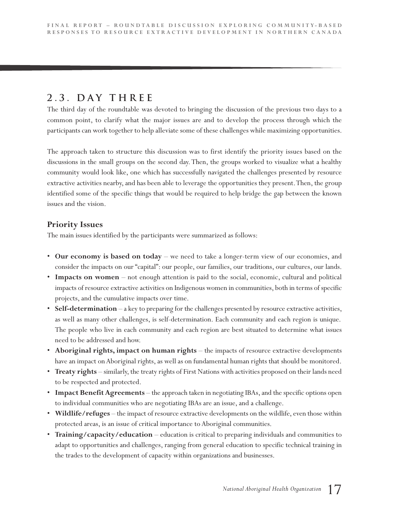## **2 . 3 . D a y T h r e e**

The third day of the roundtable was devoted to bringing the discussion of the previous two days to a common point, to clarify what the major issues are and to develop the process through which the participants can work together to help alleviate some of these challenges while maximizing opportunities.

The approach taken to structure this discussion was to first identify the priority issues based on the discussions in the small groups on the second day. Then, the groups worked to visualize what a healthy community would look like, one which has successfully navigated the challenges presented by resource extractive activities nearby, and has been able to leverage the opportunities they present.Then, the group identified some of the specific things that would be required to help bridge the gap between the known issues and the vision.

#### **Priority Issues**

The main issues identified by the participants were summarized as follows:

- **Our economy is based on today** we need to take a longer-term view of our economies, and consider the impacts on our "capital": our people, our families, our traditions, our cultures, our lands.
- **Impacts on women** not enough attention is paid to the social, economic, cultural and political impacts of resource extractive activities on Indigenous women in communities, both in terms of specific projects, and the cumulative impacts over time.
- **Self-determination** a key to preparing for the challenges presented by resource extractive activities, as well as many other challenges, is self-determination. Each community and each region is unique. The people who live in each community and each region are best situated to determine what issues need to be addressed and how.
- **Aboriginal rights, impact on human rights** the impacts of resource extractive developments have an impact on Aboriginal rights, as well as on fundamental human rights that should be monitored.
- **Treaty rights** similarly, the treaty rights of First Nations with activities proposed on their lands need to be respected and protected.
- **Impact Benefit Agreements** the approach taken in negotiating IBAs, and the specific options open to individual communities who are negotiating IBAs are an issue, and a challenge.
- **Wildlife/refuges** the impact of resource extractive developments on the wildlife, even those within protected areas, is an issue of critical importance to Aboriginal communities.
- **Training/capacity/education** education is critical to preparing individuals and communities to adapt to opportunities and challenges, ranging from general education to specific technical training in the trades to the development of capacity within organizations and businesses.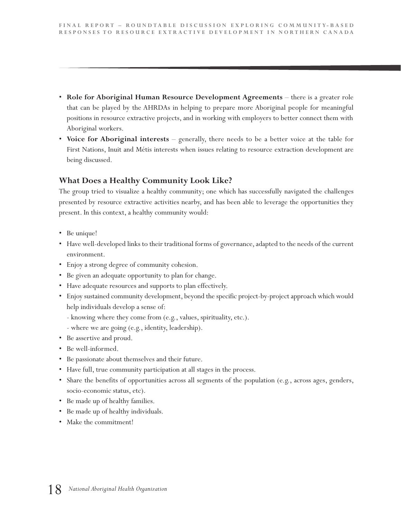- **Role for Aboriginal Human Resource Development Agreements** there is a greater role that can be played by the AHRDAs in helping to prepare more Aboriginal people for meaningful positions in resource extractive projects, and in working with employers to better connect them with Aboriginal workers.
- **Voice for Aboriginal interests** generally, there needs to be a better voice at the table for First Nations, Inuit and Métis interests when issues relating to resource extraction development are being discussed.

#### **What Does a Healthy Community Look Like?**

The group tried to visualize a healthy community; one which has successfully navigated the challenges presented by resource extractive activities nearby, and has been able to leverage the opportunities they present. In this context, a healthy community would:

- Be unique!
- Have well-developed links to their traditional forms of governance, adapted to the needs of the current environment.
- Enjoy a strong degree of community cohesion.
- Be given an adequate opportunity to plan for change.
- Have adequate resources and supports to plan effectively.
- Enjoy sustained community development, beyond the specific project-by-project approach which would help individuals develop a sense of:
	- knowing where they come from (e.g., values, spirituality, etc.).
	- where we are going (e.g., identity, leadership).
- Be assertive and proud.
- Be well-informed.
- Be passionate about themselves and their future.
- Have full, true community participation at all stages in the process.
- Share the benefits of opportunities across all segments of the population (e.g., across ages, genders, socio-economic status, etc).
- Be made up of healthy families.
- Be made up of healthy individuals.
- Make the commitment!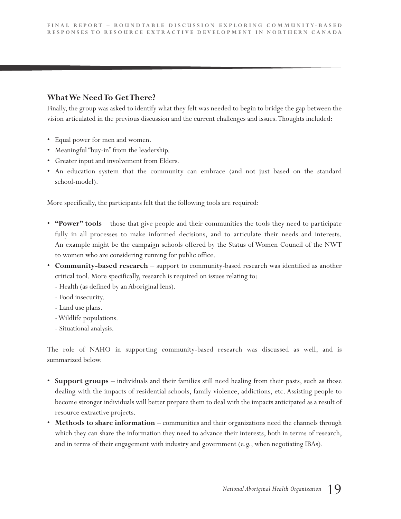#### **WhatWe NeedTo GetThere?**

Finally, the group was asked to identify what they felt was needed to begin to bridge the gap between the vision articulated in the previous discussion and the current challenges and issues.Thoughts included:

- Equal power for men and women.
- Meaningful "buy-in" from the leadership.
- Greater input and involvement from Elders.
- An education system that the community can embrace (and not just based on the standard school-model).

More specifically, the participants felt that the following tools are required:

- **"Power" tools** those that give people and their communities the tools they need to participate fully in all processes to make informed decisions, and to articulate their needs and interests. An example might be the campaign schools offered by the Status of Women Council of the NWT to women who are considering running for public office.
- **Community-based research** support to community-based research was identified as another critical tool. More specifically, research is required on issues relating to:
	- Health (as defined by an Aboriginal lens).
	- Food insecurity.
	- Land use plans.
	- -Wildlife populations.
	- Situational analysis.

The role of NAHO in supporting community-based research was discussed as well, and is summarized below.

- **Support groups** individuals and their families still need healing from their pasts, such as those dealing with the impacts of residential schools, family violence, addictions, etc. Assisting people to become stronger individuals will better prepare them to deal with the impacts anticipated as a result of resource extractive projects.
- **Methods to share information** communities and their organizations need the channels through which they can share the information they need to advance their interests, both in terms of research, and in terms of their engagement with industry and government (e.g., when negotiating IBAs).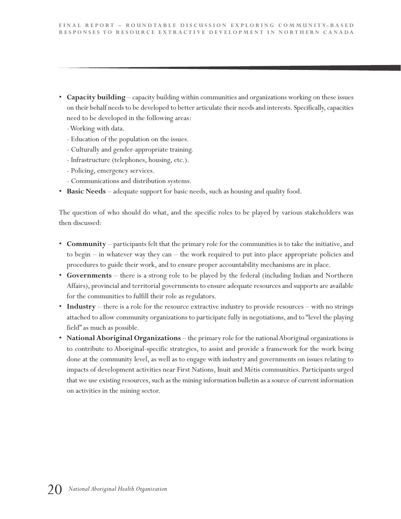- **Capacity building** capacity building within communities and organizations working on these issues on their behalf needs to be developed to better articulate their needs and interests. Specifically, capacities need to be developed in the following areas:
	- -Working with data.
	- Education of the population on the issues.
	- Culturally and gender-appropriate training.
	- Infrastructure (telephones, housing, etc.).
	- Policing, emergency services.
	- Communications and distribution systems.
- **Basic Needs** adequate support for basic needs, such as housing and quality food.

The question of who should do what, and the specific roles to be played by various stakeholders was then discussed:

- **Community** participants felt that the primary role for the communities is to take the initiative, and to begin – in whatever way they can – the work required to put into place appropriate policies and procedures to guide their work, and to ensure proper accountability mechanisms are in place.
- **Governments** there is a strong role to be played by the federal (including Indian and Northern Affairs), provincial and territorial governments to ensure adequate resources and supports are available for the communities to fulfill their role as regulators.
- **Industry** there is a role for the resource extractive industry to provide resources with no strings attached to allow community organizations to participate fully in negotiations, and to "level the playing field" as much as possible.
- **National Aboriginal Organizations** the primary role for the national Aboriginal organizations is to contribute to Aboriginal-specific strategies, to assist and provide a framework for the work being done at the community level, as well as to engage with industry and governments on issues relating to impacts of development activities near First Nations, Inuit and Métis communities. Participants urged that we use existing resources, such as the mining information bulletin as a source of current information on activities in the mining sector.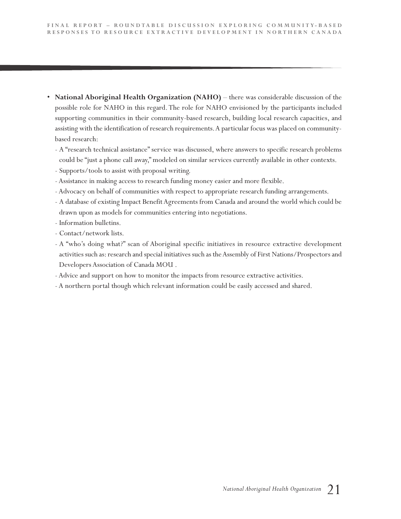- **National Aboriginal Health Organization (NAHO)** there was considerable discussion of the possible role for NAHO in this regard. The role for NAHO envisioned by the participants included supporting communities in their community-based research, building local research capacities, and assisting with the identification of research requirements.A particular focus was placed on communitybased research:
	- A "research technical assistance" service was discussed, where answers to specific research problems could be "just a phone call away," modeled on similar services currently available in other contexts.
	- Supports/tools to assist with proposal writing.
	- Assistance in making access to research funding money easier and more flexible.
	- Advocacy on behalf of communities with respect to appropriate research funding arrangements.
	- A database of existing Impact Benefit Agreements from Canada and around the world which could be drawn upon as models for communities entering into negotiations.
	- Information bulletins.
	- Contact/network lists.
	- A "who's doing what?" scan of Aboriginal specific initiatives in resource extractive development activities such as: research and special initiatives such as theAssembly of First Nations/Prospectors and Developers Association of Canada MOU .
	- Advice and support on how to monitor the impacts from resource extractive activities.
	- A northern portal though which relevant information could be easily accessed and shared.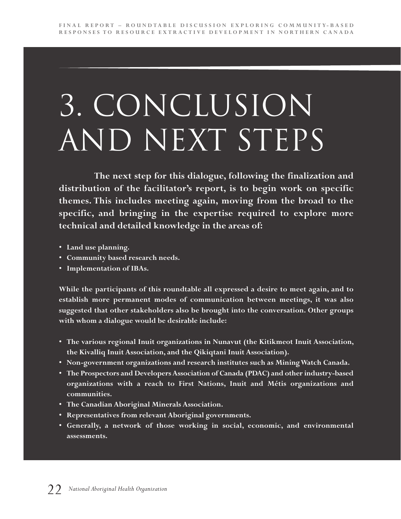## 3. Conclusion AND NEXT STEPS

**The next step for this dialogue, following the finalization and distribution of the facilitator's report, is to begin work on specific themes. This includes meeting again, moving from the broad to the specific, and bringing in the expertise required to explore more technical and detailed knowledge in the areas of:**

- **Land use planning.**
- **Community based research needs.**
- **Implementation of IBAs.**

**While the participants of this roundtable all expressed a desire to meet again, and to establish more permanent modes of communication between meetings, it was also suggested that other stakeholders also be brought into the conversation. Other groups with whom a dialogue would be desirable include:**

- **The various regional Inuit organizations in Nunavut (the Kitikmeot Inuit Association, the Kivalliq Inuit Association, and the Qikiqtani Inuit Association).**
- **Non-government organizations and research institutes such as MiningWatch Canada.**
- **The Prospectors and Developers Association of Canada (PDAC) and other industry-based organizations with a reach to First Nations, Inuit and Métis organizations and communities.**
- **The Canadian Aboriginal Minerals Association.**
- **Representatives from relevant Aboriginal governments.**
- **Generally, a network of those working in social, economic, and environmental assessments.**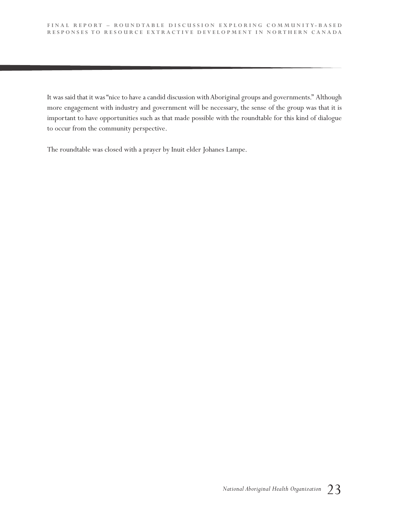It was said that it was "nice to have a candid discussion with Aboriginal groups and governments." Although more engagement with industry and government will be necessary, the sense of the group was that it is important to have opportunities such as that made possible with the roundtable for this kind of dialogue to occur from the community perspective.

The roundtable was closed with a prayer by Inuit elder Johanes Lampe.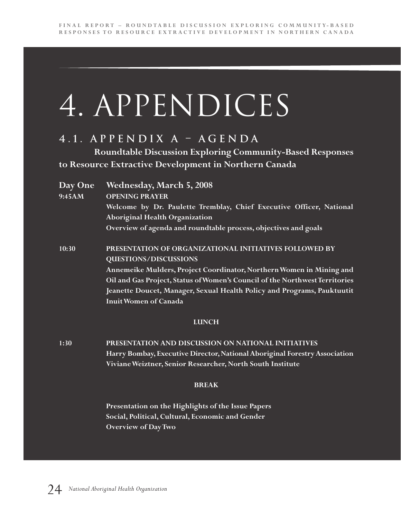## 4. APPENDICES

## **4 . 1 . A p p e n d i x A – A g e n d a**

**Roundtable Discussion Exploring Community-Based Responses to Resource Extractive Development in Northern Canada**

| Day One<br>9:45AM | <b>Wednesday, March 5, 2008</b><br><b>OPENING PRAYER</b><br>Welcome by Dr. Paulette Tremblay, Chief Executive Officer, National<br><b>Aboriginal Health Organization</b> |
|-------------------|--------------------------------------------------------------------------------------------------------------------------------------------------------------------------|
|                   | Overview of agenda and roundtable process, objectives and goals                                                                                                          |
| 10:30             | PRESENTATION OF ORGANIZATIONAL INITIATIVES FOLLOWED BY<br><b>QUESTIONS/DISCUSSIONS</b>                                                                                   |
|                   | Annemeike Mulders, Project Coordinator, Northern Women in Mining and                                                                                                     |
|                   | Oil and Gas Project, Status of Women's Council of the Northwest Territories                                                                                              |
|                   | Jeanette Doucet, Manager, Sexual Health Policy and Programs, Pauktuutit                                                                                                  |
|                   | <b>Inuit Women of Canada</b>                                                                                                                                             |
|                   | <b>LUNCH</b>                                                                                                                                                             |
| 1:30              | PRESENTATION AND DISCUSSION ON NATIONAL INITIATIVES                                                                                                                      |
|                   | Harry Bombay, Executive Director, National Aboriginal Forestry Association                                                                                               |
|                   | Viviane Weiztner, Senior Researcher, North South Institute                                                                                                               |
|                   | <b>BREAK</b>                                                                                                                                                             |

**Presentation on the Highlights of the Issue Papers Social, Political, Cultural, Economic and Gender Overview of DayTwo**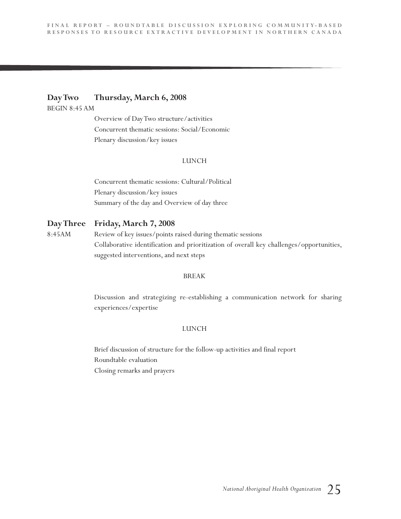#### **DayTwo Thursday, March 6, 2008**

BEGIN 8:45 AM

Overview of DayTwo structure/activities Concurrent thematic sessions: Social/Economic Plenary discussion/key issues

#### LUNCH

Concurrent thematic sessions: Cultural/Political Plenary discussion/key issues Summary of the day and Overview of day three

#### **DayThree Friday, March 7, 2008**

8:45AM Review of key issues/points raised during thematic sessions Collaborative identification and prioritization of overall key challenges/opportunities, suggested interventions, and next steps

#### BREAK

Discussion and strategizing re-establishing a communication network for sharing experiences/expertise

#### LUNCH

Brief discussion of structure for the follow-up activities and final report Roundtable evaluation Closing remarks and prayers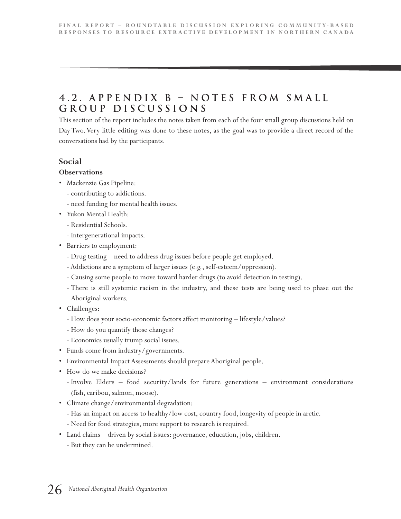## **4 . 2 . A p p e n d i x B – N o t e s f r o m S m a l l G r o u p D i s c u s s i o n s**

This section of the report includes the notes taken from each of the four small group discussions held on Day Two. Very little editing was done to these notes, as the goal was to provide a direct record of the conversations had by the participants.

#### **Social**

#### **Observations**

- Mackenzie Gas Pipeline:
	- contributing to addictions.
	- need funding for mental health issues.
- Yukon Mental Health:
	- Residential Schools.
	- Intergenerational impacts.
- Barriers to employment:
	- Drug testing need to address drug issues before people get employed.
	- Addictions are a symptom of larger issues (e.g., self-esteem/oppression).
	- Causing some people to move toward harder drugs (to avoid detection in testing).
	- There is still systemic racism in the industry, and these tests are being used to phase out the Aboriginal workers.
- Challenges:
	- How does your socio-economic factors affect monitoring lifestyle/values?
	- How do you quantify those changes?
	- Economics usually trump social issues.
- Funds come from industry/governments.
- Environmental Impact Assessments should prepare Aboriginal people.
- How do we make decisions?
	- Involve Elders food security/lands for future generations environment considerations (fish, caribou, salmon, moose).
- Climate change/environmental degradation:
	- Has an impact on access to healthy/low cost, country food, longevity of people in arctic.
	- Need for food strategies, more support to research is required.
- Land claims driven by social issues: governance, education, jobs, children.
	- But they can be undermined.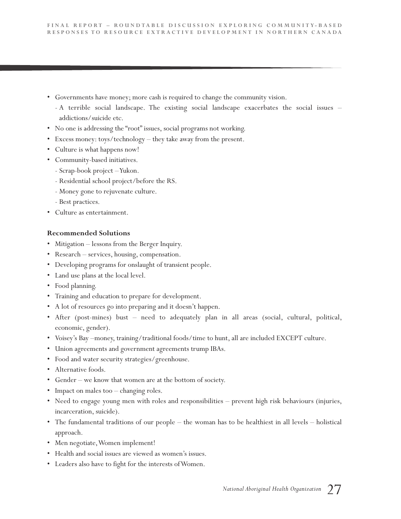- Governments have money; more cash is required to change the community vision.
	- A terrible social landscape. The existing social landscape exacerbates the social issues addictions/suicide etc.
- No one is addressing the "root" issues, social programs not working.
- Excess money: toys/technology they take away from the present.
- Culture is what happens now!
- Community-based initiatives.
	- Scrap-book project –Yukon.
	- Residential school project/before the RS.
	- Money gone to rejuvenate culture.
	- Best practices.
- Culture as entertainment.

#### **Recommended Solutions**

- Mitigation lessons from the Berger Inquiry.
- Research services, housing, compensation.
- Developing programs for onslaught of transient people.
- Land use plans at the local level.
- Food planning.
- Training and education to prepare for development.
- A lot of resources go into preparing and it doesn't happen.
- After (post-mines) bust need to adequately plan in all areas (social, cultural, political, economic, gender).
- Voisey's Bay –money, training/traditional foods/time to hunt, all are included EXCEPT culture.
- Union agreements and government agreements trump IBAs.
- Food and water security strategies/greenhouse.
- Alternative foods.
- Gender we know that women are at the bottom of society.
- Impact on males too changing roles.
- Need to engage young men with roles and responsibilities prevent high risk behaviours (injuries, incarceration, suicide).
- The fundamental traditions of our people the woman has to be healthiest in all levels holistical approach.
- Men negotiate,Women implement!
- Health and social issues are viewed as women's issues.
- Leaders also have to fight for the interests ofWomen.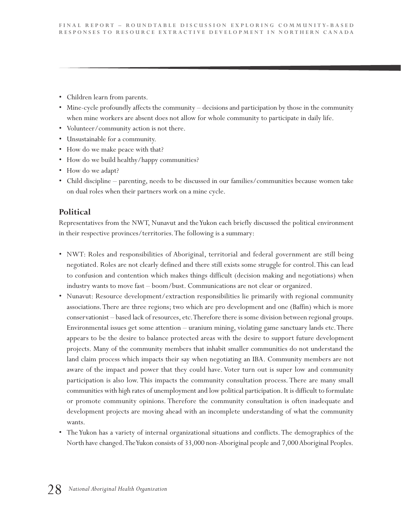- Children learn from parents.
- Mine-cycle profoundly affects the community decisions and participation by those in the community when mine workers are absent does not allow for whole community to participate in daily life.
- Volunteer/community action is not there.
- Unsustainable for a community.
- How do we make peace with that?
- How do we build healthy/happy communities?
- How do we adapt?
- Child discipline parenting, needs to be discussed in our families/communities because women take on dual roles when their partners work on a mine cycle.

#### **Political**

Representatives from the NWT, Nunavut and theYukon each briefly discussed the political environment in their respective provinces/territories.The following is a summary:

- NWT: Roles and responsibilities of Aboriginal, territorial and federal government are still being negotiated. Roles are not clearly defined and there still exists some struggle for control.This can lead to confusion and contention which makes things difficult (decision making and negotiations) when industry wants to move fast – boom/bust. Communications are not clear or organized.
- Nunavut: Resource development/extraction responsibilities lie primarily with regional community associations.There are three regions; two which are pro development and one (Baffin) which is more conservationist – based lack of resources, etc.Therefore there is some division between regional groups. Environmental issues get some attention – uranium mining, violating game sanctuary lands etc.There appears to be the desire to balance protected areas with the desire to support future development projects. Many of the community members that inhabit smaller communities do not understand the land claim process which impacts their say when negotiating an IBA. Community members are not aware of the impact and power that they could have. Voter turn out is super low and community participation is also low. This impacts the community consultation process. There are many small communities with high rates of unemployment and low political participation. It is difficult to formulate or promote community opinions. Therefore the community consultation is often inadequate and development projects are moving ahead with an incomplete understanding of what the community wants.
- The Yukon has a variety of internal organizational situations and conflicts. The demographics of the North have changed.TheYukon consists of 33,000 non-Aboriginal people and 7,000Aboriginal Peoples.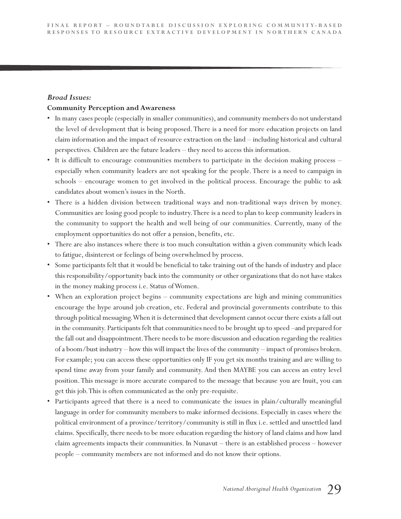#### *Broad Issues:*

#### **Community Perception and Awareness**

- In many cases people (especially in smaller communities), and community members do not understand the level of development that is being proposed.There is a need for more education projects on land claim information and the impact of resource extraction on the land – including historical and cultural perspectives. Children are the future leaders – they need to access this information.
- It is difficult to encourage communities members to participate in the decision making process especially when community leaders are not speaking for the people. There is a need to campaign in schools – encourage women to get involved in the political process. Encourage the public to ask candidates about women's issues in the North.
- There is a hidden division between traditional ways and non-traditional ways driven by money. Communities are losing good people to industry.There is a need to plan to keep community leaders in the community to support the health and well being of our communities. Currently, many of the employment opportunities do not offer a pension, benefits, etc.
- There are also instances where there is too much consultation within a given community which leads to fatigue, disinterest or feelings of being overwhelmed by process.
- Some participants felt that it would be beneficial to take training out of the hands of industry and place this responsibility/opportunity back into the community or other organizations that do not have stakes in the money making process *i.e.* Status of Women.
- When an exploration project begins community expectations are high and mining communities encourage the hype around job creation, etc. Federal and provincial governments contribute to this through political messaging.When it is determined that development cannot occur there exists a fall out in the community. Participants felt that communities need to be brought up to speed –and prepared for the fall out and disappointment.There needs to be more discussion and education regarding the realities of a boom/bust industry – how this will impact the lives of the community – impact of promises broken. For example; you can access these opportunities only IF you get six months training and are willing to spend time away from your family and community. And then MAYBE you can access an entry level position.This message is more accurate compared to the message that because you are Inuit, you can get this job.This is often communicated as the only pre-requisite.
- Participants agreed that there is a need to communicate the issues in plain/culturally meaningful language in order for community members to make informed decisions. Especially in cases where the political environment of a province/territory/community is still in flux i.e. settled and unsettled land claims. Specifically, there needs to be more education regarding the history of land claims and how land claim agreements impacts their communities. In Nunavut – there is an established process – however people – community members are not informed and do not know their options.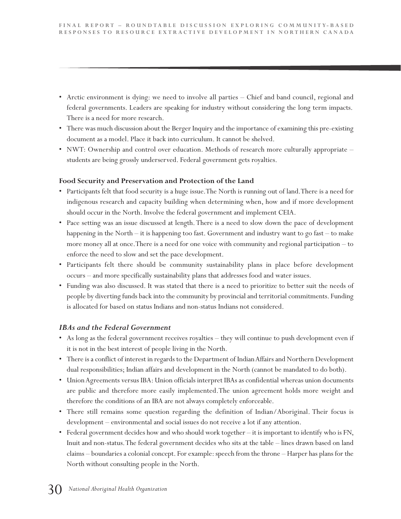- Arctic environment is dying: we need to involve all parties Chief and band council, regional and federal governments. Leaders are speaking for industry without considering the long term impacts. There is a need for more research.
- There was much discussion about the Berger Inquiry and the importance of examining this pre-existing document as a model. Place it back into curriculum. It cannot be shelved.
- NWT: Ownership and control over education. Methods of research more culturally appropriate students are being grossly underserved. Federal government gets royalties.

#### **Food Security and Preservation and Protection of the Land**

- Participants felt that food security is a huge issue.The North is running out of land.There is a need for indigenous research and capacity building when determining when, how and if more development should occur in the North. Involve the federal government and implement CEIA.
- Pace setting was an issue discussed at length. There is a need to slow down the pace of development happening in the North – it is happening too fast. Government and industry want to go fast – to make more money all at once.There is a need for one voice with community and regional participation – to enforce the need to slow and set the pace development.
- Participants felt there should be community sustainability plans in place before development occurs – and more specifically sustainability plans that addresses food and water issues.
- Funding was also discussed. It was stated that there is a need to prioritize to better suit the needs of people by diverting funds back into the community by provincial and territorial commitments. Funding is allocated for based on status Indians and non-status Indians not considered.

#### *IBAs and the Federal Government*

- As long as the federal government receives royalties they will continue to push development even if it is not in the best interest of people living in the North.
- There is a conflict of interest in regards to the Department of Indian Affairs and Northern Development dual responsibilities; Indian affairs and development in the North (cannot be mandated to do both).
- Union Agreements versus IBA: Union officials interpret IBAs as confidential whereas union documents are public and therefore more easily implemented.The union agreement holds more weight and therefore the conditions of an IBA are not always completely enforceable.
- There still remains some question regarding the definition of Indian/Aboriginal. Their focus is development – environmental and social issues do not receive a lot if any attention.
- Federal government decides how and who should work together it is important to identify who is FN, Inuit and non-status.The federal government decides who sits at the table – lines drawn based on land claims – boundaries a colonial concept. For example: speech from the throne – Harper has plans for the North without consulting people in the North.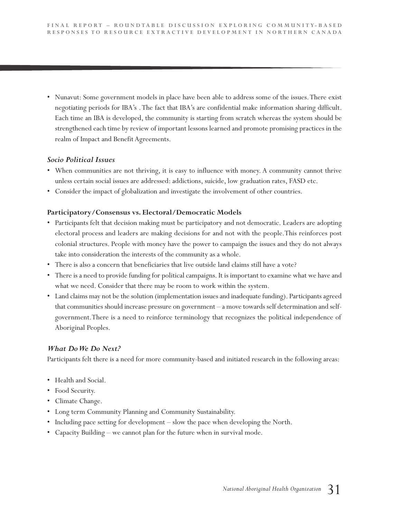• Nunavut: Some government models in place have been able to address some of the issues.There exist negotiating periods for IBA's .The fact that IBA's are confidential make information sharing difficult. Each time an IBA is developed, the community is starting from scratch whereas the system should be strengthened each time by review of important lessons learned and promote promising practices in the realm of Impact and Benefit Agreements.

#### *Socio Political Issues*

- When communities are not thriving, it is easy to influence with money. A community cannot thrive unless certain social issues are addressed: addictions, suicide, low graduation rates, FASD etc.
- Consider the impact of globalization and investigate the involvement of other countries.

#### **Participatory/Consensus vs. Electoral/Democratic Models**

- Participants felt that decision making must be participatory and not democratic. Leaders are adopting electoral process and leaders are making decisions for and not with the people.This reinforces post colonial structures. People with money have the power to campaign the issues and they do not always take into consideration the interests of the community as a whole.
- There is also a concern that beneficiaries that live outside land claims still have a vote?
- There is a need to provide funding for political campaigns. It is important to examine what we have and what we need. Consider that there may be room to work within the system.
- Land claims may not be the solution (implementation issues and inadequate funding). Participants agreed that communities should increase pressure on government – a move towards self determination and selfgovernment.There is a need to reinforce terminology that recognizes the political independence of Aboriginal Peoples.

#### *What DoWe Do Next?*

Participants felt there is a need for more community-based and initiated research in the following areas:

- Health and Social.
- Food Security.
- Climate Change.
- Long term Community Planning and Community Sustainability.
- Including pace setting for development slow the pace when developing the North.
- Capacity Building we cannot plan for the future when in survival mode.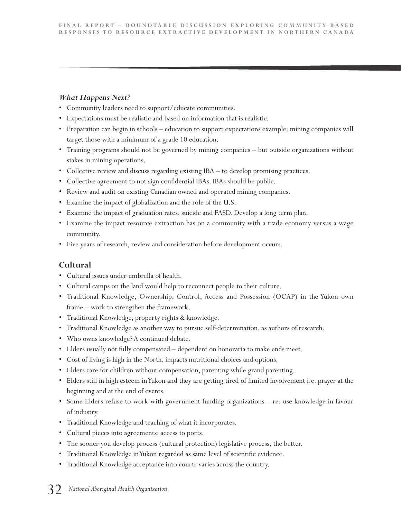#### *What Happens Next?*

- Community leaders need to support/educate communities.
- Expectations must be realistic and based on information that is realistic.
- Preparation can begin in schools education to support expectations example: mining companies will target those with a minimum of a grade 10 education.
- Training programs should not be governed by mining companies but outside organizations without stakes in mining operations.
- Collective review and discuss regarding existing IBA to develop promising practices.
- Collective agreement to not sign confidential IBAs. IBAs should be public.
- Review and audit on existing Canadian owned and operated mining companies.
- Examine the impact of globalization and the role of the U.S.
- Examine the impact of graduation rates, suicide and FASD. Develop a long term plan.
- Examine the impact resource extraction has on a community with a trade economy versus a wage community.
- Five years of research, review and consideration before development occurs.

### **Cultural**

- Cultural issues under umbrella of health.
- Cultural camps on the land would help to reconnect people to their culture.
- Traditional Knowledge, Ownership, Control, Access and Possession (OCAP) in the Yukon own frame – work to strengthen the framework.
- Traditional Knowledge, property rights & knowledge.
- Traditional Knowledge as another way to pursue self-determination, as authors of research.
- Who owns knowledge? A continued debate.
- Elders usually not fully compensated dependent on honoraria to make ends meet.
- Cost of living is high in the North, impacts nutritional choices and options.
- Elders care for children without compensation, parenting while grand parenting.
- Elders still in high esteem inYukon and they are getting tired of limited involvement i.e. prayer at the beginning and at the end of events.
- Some Elders refuse to work with government funding organizations re: use knowledge in favour of industry.
- Traditional Knowledge and teaching of what it incorporates.
- Cultural pieces into agreements: access to ports.
- The sooner you develop process (cultural protection) legislative process, the better.
- Traditional Knowledge inYukon regarded as same level of scientific evidence.
- Traditional Knowledge acceptance into courts varies across the country.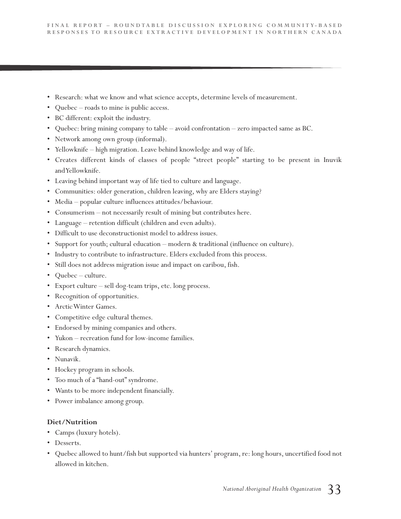- Research: what we know and what science accepts, determine levels of measurement.
- Quebec roads to mine is public access.
- BC different: exploit the industry.
- Quebec: bring mining company to table avoid confrontation zero impacted same as BC.
- Network among own group (informal).
- Yellowknife high migration. Leave behind knowledge and way of life.
- Creates different kinds of classes of people "street people" starting to be present in Inuvik andYellowknife.
- Leaving behind important way of life tied to culture and language.
- Communities: older generation, children leaving, why are Elders staying?
- Media popular culture influences attitudes/behaviour.
- Consumerism not necessarily result of mining but contributes here.
- Language retention difficult (children and even adults).
- Difficult to use deconstructionist model to address issues.
- Support for youth; cultural education modern & traditional (influence on culture).
- Industry to contribute to infrastructure. Elders excluded from this process.
- Still does not address migration issue and impact on caribou, fish.
- Quebec culture.
- Export culture sell dog-team trips, etc. long process.
- Recognition of opportunities.
- ArcticWinter Games.
- Competitive edge cultural themes.
- Endorsed by mining companies and others.
- Yukon recreation fund for low-income families.
- Research dynamics.
- Nunavik.
- Hockey program in schools.
- Too much of a "hand-out" syndrome.
- Wants to be more independent financially.
- Power imbalance among group.

#### **Diet/Nutrition**

- Camps (luxury hotels).
- Desserts.
- Quebec allowed to hunt/fish but supported via hunters' program, re: long hours, uncertified food not allowed in kitchen.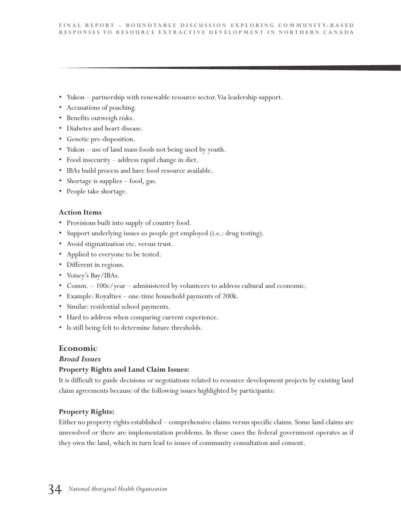- Yukon partnership with renewable resource sector. Via leadership support.
- Accusations of poaching.
- Benefits outweigh risks.
- Diabetes and heart disease.
- Genetic pre-disposition.
- Yukon use of land mass foods not being used by youth.
- Food insecurity address rapid change in diet.
- IBAs build process and have food resource available.
- Shortage is supplies food, gas.
- People take shortage.

#### **Action Items**

- Provisions built into supply of country food.
- Support underlying issues so people get employed (i.e.: drug testing).
- Avoid stigmatization etc. versus trust.
- Applied to everyone to be tested.
- Different in regions.
- Voisey's Bay/IBAs.
- Comm. 100c/year administered by volunteers to address cultural and economic.
- Example: Royalties one-time household payments of 200k.
- Similar: residential school payments.
- Hard to address when comparing current experience.
- Is still being felt to determine future thresholds.

#### **Economic**

#### *Broad Issues*

#### **Property Rights and Land Claim Issues:**

It is difficult to guide decisions or negotiations related to resource development projects by existing land claim agreements because of the following issues highlighted by participants:

#### **Property Rights:**

Either no property rights established – comprehensive claims versus specific claims. Some land claims are unresolved or there are implementation problems. In these cases the federal government operates as if they own the land, which in turn lead to issues of community consultation and consent.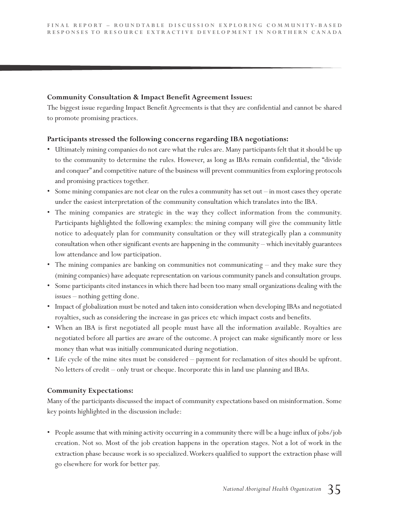#### **Community Consultation & Impact Benefit Agreement Issues:**

The biggest issue regarding Impact Benefit Agreements is that they are confidential and cannot be shared to promote promising practices.

#### **Participants stressed the following concerns regarding IBA negotiations:**

- Ultimately mining companies do not care what the rules are. Many participants felt that it should be up to the community to determine the rules. However, as long as IBAs remain confidential, the "divide and conquer" and competitive nature of the business will prevent communities from exploring protocols and promising practices together.
- Some mining companies are not clear on the rules a community has set out in most cases they operate under the easiest interpretation of the community consultation which translates into the IBA.
- The mining companies are strategic in the way they collect information from the community. Participants highlighted the following examples: the mining company will give the community little notice to adequately plan for community consultation or they will strategically plan a community consultation when other significant events are happening in the community – which inevitably guarantees low attendance and low participation.
- The mining companies are banking on communities not communicating and they make sure they (mining companies) have adequate representation on various community panels and consultation groups.
- Some participants cited instances in which there had been too many small organizations dealing with the issues – nothing getting done.
- Impact of globalization must be noted and taken into consideration when developing IBAs and negotiated royalties, such as considering the increase in gas prices etc which impact costs and benefits.
- When an IBA is first negotiated all people must have all the information available. Royalties are negotiated before all parties are aware of the outcome. A project can make significantly more or less money than what was initially communicated during negotiation.
- Life cycle of the mine sites must be considered payment for reclamation of sites should be upfront. No letters of credit – only trust or cheque. Incorporate this in land use planning and IBAs.

#### **Community Expectations:**

Many of the participants discussed the impact of community expectations based on misinformation. Some key points highlighted in the discussion include:

• People assume that with mining activity occurring in a community there will be a huge influx of jobs/job creation. Not so. Most of the job creation happens in the operation stages. Not a lot of work in the extraction phase because work is so specialized.Workers qualified to support the extraction phase will go elsewhere for work for better pay.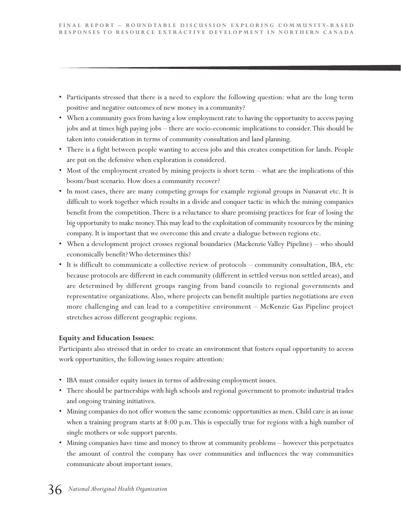- Participants stressed that there is a need to explore the following question: what are the long term positive and negative outcomes of new money in a community?
- When a community goes from having a low employment rate to having the opportunity to access paying jobs and at times high paying jobs – there are socio-economic implications to consider.This should be taken into consideration in terms of community consultation and land planning.
- There is a fight between people wanting to access jobs and this creates competition for lands. People are put on the defensive when exploration is considered.
- Most of the employment created by mining projects is short term what are the implications of this boom/bust scenario. How does a community recover?
- In most cases, there are many competing groups for example regional groups in Nunavut etc. It is difficult to work together which results in a divide and conquer tactic in which the mining companies benefit from the competition.There is a reluctance to share promising practices for fear of losing the big opportunity to make money.This may lead to the exploitation of community resources by the mining company. It is important that we overcome this and create a dialogue between regions etc.
- When a development project crosses regional boundaries (Mackenzie Valley Pipeline) who should economically benefit?Who determines this?
- It is difficult to communicate a collective review of protocols community consultation, IBA, etc because protocols are different in each community (different in settled versus non settled areas), and are determined by different groups ranging from band councils to regional governments and representative organizations.Also, where projects can benefit multiple parties negotiations are even more challenging and can lead to a competitive environment – McKenzie Gas Pipeline project stretches across different geographic regions.

#### **Equity and Education Issues:**

Participants also stressed that in order to create an environment that fosters equal opportunity to access work opportunities, the following issues require attention:

- IBA must consider equity issues in terms of addressing employment issues.
- There should be partnerships with high schools and regional government to promote industrial trades and ongoing training initiatives.
- Mining companies do not offer women the same economic opportunities as men. Child care is an issue when a training program starts at 8:00 p.m. This is especially true for regions with a high number of single mothers or sole support parents.
- Mining companies have time and money to throw at community problems however this perpetuates the amount of control the company has over communities and influences the way communities communicate about important issues.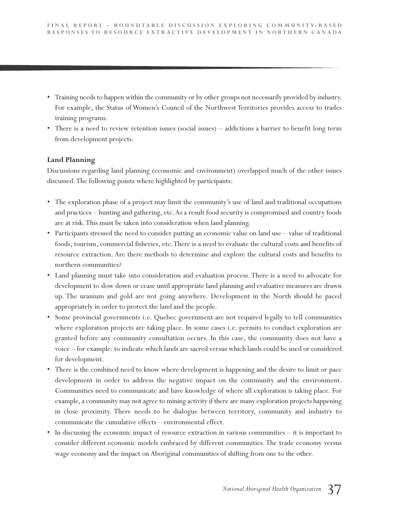- Training needs to happen within the community or by other groups not necessarily provided by industry. For example, the Status of Women's Council of the Northwest Territories provides access to trades training programs.
- There is a need to review retention issues (social issues) addictions a barrier to benefit long term from development projects.

#### **Land Planning**

Discussions regarding land planning (economic and environment) overlapped much of the other issues discussed.The following points where highlighted by participants:

- The exploration phase of a project may limit the community's use of land and traditional occupations and practices – hunting and gathering, etc.As a result food security is compromised and country foods are at risk.This must be taken into consideration when land planning.
- Participants stressed the need to consider putting an economic value on land use value of traditional foods, tourism, commercial fisheries, etc.There is a need to evaluate the cultural costs and benefits of resource extraction. Are there methods to determine and explore the cultural costs and benefits to northern communities?
- Land planning must take into consideration and evaluation process. There is a need to advocate for development to slow down or cease until appropriate land planning and evaluative measures are drawn up. The uranium and gold are not going anywhere. Development in the North should be paced appropriately in order to protect the land and the people.
- Some provincial governments i.e. Quebec government are not required legally to tell communities where exploration projects are taking place. In some cases i.e. permits to conduct exploration are granted before any community consultation occurs. In this case, the community does not have a voice – for example: to indicate which lands are sacred versus which lands could be used or considered for development.
- There is the combined need to know where development is happening and the desire to limit or pace development in order to address the negative impact on the community and the environment. Communities need to communicate and have knowledge of where all exploration is taking place. For example, a community may not agree to mining activity if there are many exploration projects happening in close proximity. There needs to be dialogue between territory, community and industry to communicate the cumulative effects – environmental effect.
- In discussing the economic impact of resource extraction in various communities it is important to consider different economic models embraced by different communities. The trade economy versus wage economy and the impact on Aboriginal communities of shifting from one to the other.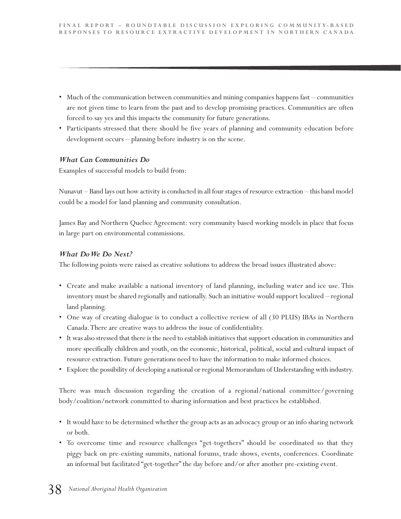- Much of the communication between communities and mining companies happens fast communities are not given time to learn from the past and to develop promising practices. Communities are often forced to say yes and this impacts the community for future generations.
- Participants stressed that there should be five years of planning and community education before development occurs – planning before industry is on the scene.

#### *What Can Communities Do*

Examples of successful models to build from:

Nunavut – Band lays out how activity is conducted in all four stages of resource extraction – this band model could be a model for land planning and community consultation.

James Bay and Northern Quebec Agreement: very community based working models in place that focus in large part on environmental commissions.

#### *What DoWe Do Next?*

The following points were raised as creative solutions to address the broad issues illustrated above:

- Create and make available a national inventory of land planning, including water and ice use. This inventory must be shared regionally and nationally. Such an initiative would support localized – regional land planning.
- One way of creating dialogue is to conduct a collective review of all (30 PLUS) IBAs in Northern Canada.There are creative ways to address the issue of confidentiality.
- It was also stressed that there is the need to establish initiatives that support education in communities and more specifically children and youth, on the economic, historical, political, social and cultural impact of resource extraction. Future generations need to have the information to make informed choices.
- Explore the possibility of developing a national or regional Memorandum of Understanding with industry.

There was much discussion regarding the creation of a regional/national committee/governing body/coalition/network committed to sharing information and best practices be established.

- It would have to be determined whether the group acts as an advocacy group or an info sharing network or both.
- To overcome time and resource challenges "get-togethers" should be coordinated so that they piggy back on pre-existing summits, national forums, trade shows, events, conferences. Coordinate an informal but facilitated "get-together" the day before and/or after another pre-existing event.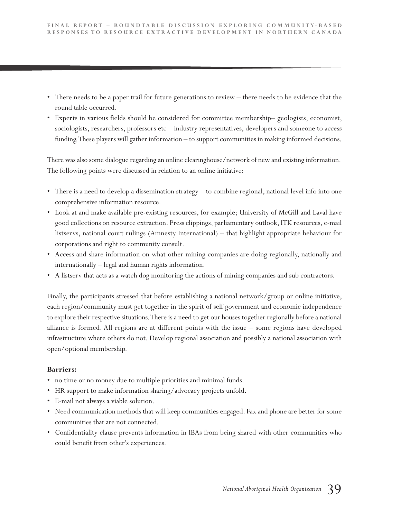- There needs to be a paper trail for future generations to review there needs to be evidence that the round table occurred.
- Experts in various fields should be considered for committee membership– geologists, economist, sociologists, researchers, professors etc – industry representatives, developers and someone to access funding.These players will gather information – to support communities in making informed decisions.

There was also some dialogue regarding an online clearinghouse/network of new and existing information. The following points were discussed in relation to an online initiative:

- There is a need to develop a dissemination strategy to combine regional, national level info into one comprehensive information resource.
- Look at and make available pre-existing resources, for example; University of McGill and Laval have good collections on resource extraction. Press clippings, parliamentary outlook, ITK resources, e-mail listservs, national court rulings (Amnesty International) – that highlight appropriate behaviour for corporations and right to community consult.
- Access and share information on what other mining companies are doing regionally, nationally and internationally – legal and human rights information.
- A listserv that acts as a watch dog monitoring the actions of mining companies and sub contractors.

Finally, the participants stressed that before establishing a national network/group or online initiative, each region/community must get together in the spirit of self government and economic independence to explore their respective situations.There is a need to get our houses together regionally before a national alliance is formed. All regions are at different points with the issue – some regions have developed infrastructure where others do not. Develop regional association and possibly a national association with open/optional membership.

#### **Barriers:**

- no time or no money due to multiple priorities and minimal funds.
- HR support to make information sharing/advocacy projects unfold.
- E-mail not always a viable solution.
- Need communication methods that will keep communities engaged. Fax and phone are better for some communities that are not connected.
- Confidentiality clause prevents information in IBAs from being shared with other communities who could benefit from other's experiences.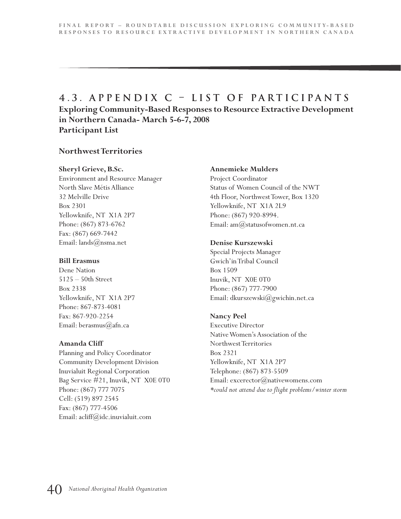### **4 . 3 . A p p e n d i x C – L i s t o f P a r t i c i p a n t s Exploring Community-Based Responses to Resource Extractive Development in Northern Canada- March 5-6-7, 2008 Participant List**

#### **NorthwestTerritories**

#### **Sheryl Grieve, B.Sc.**

Environment and Resource Manager North Slave Métis Alliance 32 Melville Drive Box 2301 Yellowknife, NT X1A 2P7 Phone: (867) 873-6762 Fax: (867) 669-7442 Email: lands@nsma.net

#### **Bill Erasmus**

Dene Nation 5125 – 50th Street Box 2338 Yellowknife, NT X1A 2P7 Phone: 867-873-4081 Fax: 867-920-2254 Email: berasmus@afn.ca

#### **Amanda Cliff**

Planning and Policy Coordinator Community Development Division Inuvialuit Regional Corporation Bag Service #21, Inuvik, NT X0E 0T0 Phone: (867) 777 7075 Cell: (519) 897 2545 Fax: (867) 777-4506 Email: acliff@idc.inuvialuit.com

#### **Annemieke Mulders**

Project Coordinator Status of Women Council of the NWT 4th Floor, NorthwestTower, Box 1320 Yellowknife, NT X1A 2L9 Phone: (867) 920-8994. Email: am@statusofwomen.nt.ca

#### **Denise Kurszewski**

Special Projects Manager Gwich'inTribal Council Box 1509 Inuvik, NT X0E 0T0 Phone: (867) 777-7900 Email: dkurszewski@gwichin.net.ca

#### **Nancy Peel**

Executive Director NativeWomen's Association of the NorthwestTerritories Box 2321 Yellowknife, NT X1A 2P7 Telephone: (867) 873-5509 Email: excerector@nativewomens.com *\*could not attend due to flight problems/winter storm*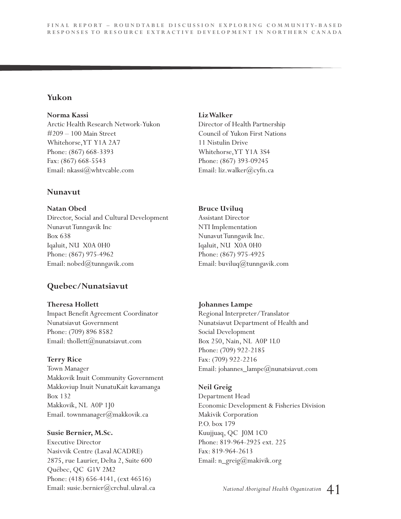#### **Yukon**

**Norma Kassi**

Arctic Health Research Network-Yukon #209 – 100 Main Street Whitehorse,YT Y1A 2A7 Phone: (867) 668-3393 Fax: (867) 668-5543 Email: nkassi@whtvcable.com

#### **Nunavut**

**Natan Obed** Director, Social and Cultural Development NunavutTunngavik Inc Box 638 Iqaluit, NU X0A 0H0 Phone: (867) 975-4962 Email: nobed@tunngavik.com

### **Quebec/Nunatsiavut**

**Theresa Hollett** Impact Benefit Agreement Coordinator Nunatsiavut Government Phone: (709) 896 8582 Email: thollett@nunatsiavut.com

#### **Terry Rice**

Town Manager Makkovik Inuit Community Government Makkoviup Inuit NunatuKait kavamanga Box 132 Makkovik, NL A0P 1J0 Email. townmanager(*a*)makkovik.ca

#### **Susie Bernier, M.Sc.**

Executive Director Nasivvik Centre (Laval ACADRE) 2875, rue Laurier, Delta 2, Suite 600 Québec, QC G1V 2M2 Phone: (418) 656-4141, (ext 46516) Email: susie.bernier@crchul.ulaval.ca

#### **LizWalker**

Director of Health Partnership Council of Yukon First Nations 11 Nistulin Drive Whitehorse,YT Y1A 3S4 Phone: (867) 393-09245 Email: liz.walker@cyfn.ca

#### **Bruce Uviluq**

Assistant Director NTI Implementation NunavutTunngavik Inc. Iqaluit, NU X0A 0H0 Phone: (867) 975-4925 Email: buviluq $(a)$ tunngavik.com

#### **Johannes Lampe**

Regional Interpreter/Translator Nunatsiavut Department of Health and Social Development Box 250, Nain, NL A0P 1L0 Phone: (709) 922-2185 Fax: (709) 922-2216 Email: johannes\_lampe@nunatsiavut.com

#### **Neil Greig**

Department Head Economic Development & Fisheries Division Makivik Corporation P.O. box 179 Kuujjuaq, QC J0M 1C0 Phone: 819-964-2925 ext. 225 Fax: 819-964-2613 Email: n\_greig@makivik.org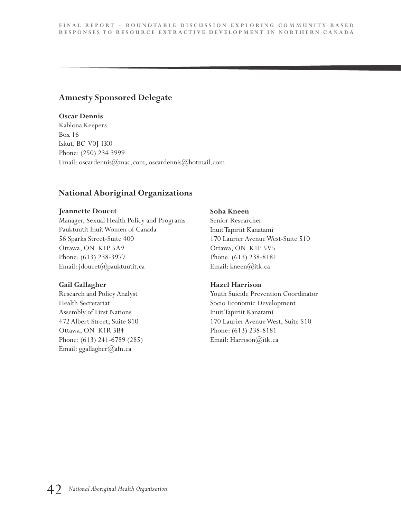#### **Amnesty Sponsored Delegate**

#### **Oscar Dennis**

Kablona Keepers Box 16 Iskut, BC V0J 1K0 Phone: (250) 234 3999 Email: oscardennis@mac.com, oscardennis@hotmail.com

#### **National Aboriginal Organizations**

#### **Jeannette Doucet**

Manager, Sexual Health Policy and Programs Pauktuutit InuitWomen of Canada 56 Sparks Street-Suite 400 Ottawa, ON K1P 5A9 Phone: (613) 238-3977 Email: jdoucet@pauktuutit.ca

#### **Gail Gallagher**

Research and Policy Analyst Health Secretariat Assembly of First Nations 472 Albert Street, Suite 810 Ottawa, ON K1R 5B4 Phone: (613) 241-6789 (285) Email: ggallagher@afn.ca

#### **Soha Kneen**

Senior Researcher InuitTapiriit Kanatami 170 Laurier AvenueWest-Suite 510 Ottawa, ON K1P 5V5 Phone: (613) 238-8181 Email: kneen@itk.ca

#### **Hazel Harrison**

Youth Suicide Prevention Coordinator Socio Economic Development InuitTapiriit Kanatami 170 Laurier AvenueWest, Suite 510 Phone: (613) 238-8181 Email: Harrison@itk.ca